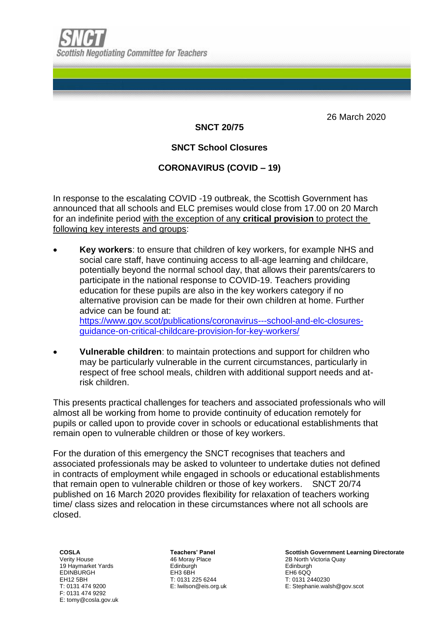26 March 2020

## **SNCT 20/75**

# **SNCT School Closures**

# **CORONAVIRUS (COVID – 19)**

In response to the escalating COVID -19 outbreak, the Scottish Government has announced that all schools and ELC premises would close from 17.00 on 20 March for an indefinite period with the exception of any **critical provision** to protect the following key interests and groups:

- **Key workers**: to ensure that children of key workers, for example NHS and social care staff, have continuing access to all-age learning and childcare, potentially beyond the normal school day, that allows their parents/carers to participate in the national response to COVID-19. Teachers providing education for these pupils are also in the key workers category if no alternative provision can be made for their own children at home. Further advice can be found at: [https://www.gov.scot/publications/coronavirus---school-and-elc-closures](https://www.gov.scot/publications/coronavirus---school-and-elc-closures-guidance-on-critical-childcare-provision-for-key-workers/)[guidance-on-critical-childcare-provision-for-key-workers/](https://www.gov.scot/publications/coronavirus---school-and-elc-closures-guidance-on-critical-childcare-provision-for-key-workers/)
- **Vulnerable children**: to maintain protections and support for children who may be particularly vulnerable in the current circumstances, particularly in respect of free school meals, children with additional support needs and atrisk children.

This presents practical challenges for teachers and associated professionals who will almost all be working from home to provide continuity of education remotely for pupils or called upon to provide cover in schools or educational establishments that remain open to vulnerable children or those of key workers.

For the duration of this emergency the SNCT recognises that teachers and associated professionals may be asked to volunteer to undertake duties not defined in contracts of employment while engaged in schools or educational establishments that remain open to vulnerable children or those of key workers. SNCT 20/74 published on 16 March 2020 provides flexibility for relaxation of teachers working time/ class sizes and relocation in these circumstances where not all schools are closed.

**COSLA** Verity House 19 Haymarket Yards EDINBURGH EH12 5BH T: 0131 474 9200 F: 0131 474 9292 E: tomy@cosla.gov.uk **Teachers' Panel** 46 Moray Place **Edinburgh** EH3 6BH T: 0131 225 6244 E: lwilson@eis.org.uk

**Scottish Government Learning Directorate** 2B North Victoria Quay Edinburgh EH6 6QQ T: 0131 2440230 E: Stephanie.walsh@gov.scot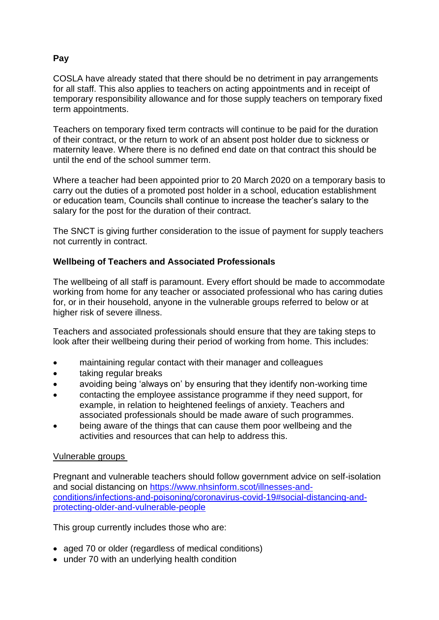## **Pay**

COSLA have already stated that there should be no detriment in pay arrangements for all staff. This also applies to teachers on acting appointments and in receipt of temporary responsibility allowance and for those supply teachers on temporary fixed term appointments.

Teachers on temporary fixed term contracts will continue to be paid for the duration of their contract, or the return to work of an absent post holder due to sickness or maternity leave. Where there is no defined end date on that contract this should be until the end of the school summer term.

Where a teacher had been appointed prior to 20 March 2020 on a temporary basis to carry out the duties of a promoted post holder in a school, education establishment or education team, Councils shall continue to increase the teacher's salary to the salary for the post for the duration of their contract.

The SNCT is giving further consideration to the issue of payment for supply teachers not currently in contract.

### **Wellbeing of Teachers and Associated Professionals**

The wellbeing of all staff is paramount. Every effort should be made to accommodate working from home for any teacher or associated professional who has caring duties for, or in their household, anyone in the vulnerable groups referred to below or at higher risk of severe illness.

Teachers and associated professionals should ensure that they are taking steps to look after their wellbeing during their period of working from home. This includes:

- maintaining regular contact with their manager and colleagues
- taking regular breaks
- avoiding being 'always on' by ensuring that they identify non-working time
- contacting the employee assistance programme if they need support, for example, in relation to heightened feelings of anxiety. Teachers and associated professionals should be made aware of such programmes.
- being aware of the things that can cause them poor wellbeing and the activities and resources that can help to address this.

#### Vulnerable groups

Pregnant and vulnerable teachers should follow government advice on self-isolation and social distancing on [https://www.nhsinform.scot/illnesses-and](https://www.nhsinform.scot/illnesses-and-conditions/infections-and-poisoning/coronavirus-covid-19#social-distancing-and-protecting-older-and-vulnerable-people)[conditions/infections-and-poisoning/coronavirus-covid-19#social-distancing-and](https://www.nhsinform.scot/illnesses-and-conditions/infections-and-poisoning/coronavirus-covid-19#social-distancing-and-protecting-older-and-vulnerable-people)[protecting-older-and-vulnerable-people](https://www.nhsinform.scot/illnesses-and-conditions/infections-and-poisoning/coronavirus-covid-19#social-distancing-and-protecting-older-and-vulnerable-people)

This group currently includes those who are:

- aged 70 or older (regardless of medical conditions)
- under 70 with an underlying health condition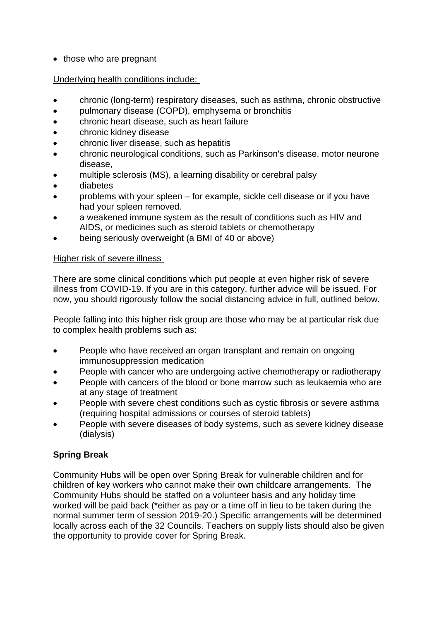• those who are pregnant

#### Underlying health conditions include:

- chronic (long-term) respiratory diseases, such as asthma, chronic obstructive
- pulmonary disease (COPD), emphysema or bronchitis
- chronic heart disease, such as heart failure
- chronic kidney disease
- chronic liver disease, such as hepatitis
- chronic neurological conditions, such as Parkinson's disease, motor neurone disease,
- multiple sclerosis (MS), a learning disability or cerebral palsy
- diabetes
- problems with your spleen for example, sickle cell disease or if you have had your spleen removed.
- a weakened immune system as the result of conditions such as HIV and AIDS, or medicines such as steroid tablets or chemotherapy
- being seriously overweight (a BMI of 40 or above)

#### Higher risk of severe illness

There are some clinical conditions which put people at even higher risk of severe illness from COVID-19. If you are in this category, further advice will be issued. For now, you should rigorously follow the social distancing advice in full, outlined below.

People falling into this higher risk group are those who may be at particular risk due to complex health problems such as:

- People who have received an organ transplant and remain on ongoing immunosuppression medication
- People with cancer who are undergoing active chemotherapy or radiotherapy
- People with cancers of the blood or bone marrow such as leukaemia who are at any stage of treatment
- People with severe chest conditions such as cystic fibrosis or severe asthma (requiring hospital admissions or courses of steroid tablets)
- People with severe diseases of body systems, such as severe kidney disease (dialysis)

## **Spring Break**

Community Hubs will be open over Spring Break for vulnerable children and for children of key workers who cannot make their own childcare arrangements. The Community Hubs should be staffed on a volunteer basis and any holiday time worked will be paid back (\*either as pay or a time off in lieu to be taken during the normal summer term of session 2019-20.) Specific arrangements will be determined locally across each of the 32 Councils. Teachers on supply lists should also be given the opportunity to provide cover for Spring Break.